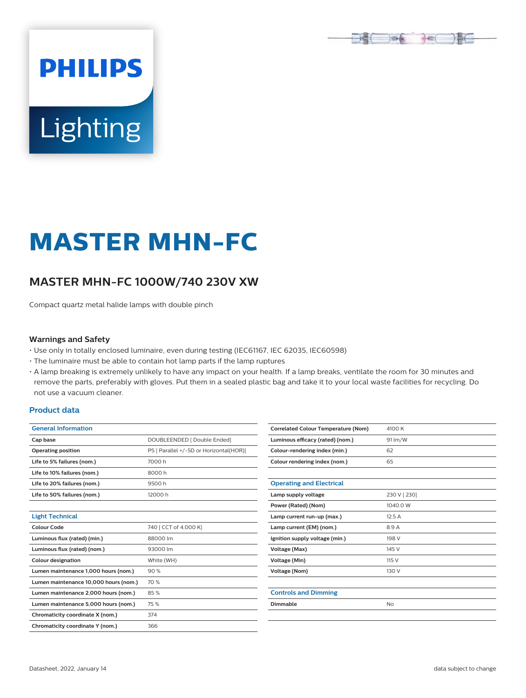

# Lighting

**PHILIPS** 

# **MASTER MHN-FC**

# **MASTER MHN-FC 1000W/740 230V XW**

Compact quartz metal halide lamps with double pinch

#### **Warnings and Safety**

- Use only in totally enclosed luminaire, even during testing (IEC61167, IEC 62035, IEC60598)
- The luminaire must be able to contain hot lamp parts if the lamp ruptures
- A lamp breaking is extremely unlikely to have any impact on your health. If a lamp breaks, ventilate the room for 30 minutes and remove the parts, preferably with gloves. Put them in a sealed plastic bag and take it to your local waste facilities for recycling. Do not use a vacuum cleaner.

#### **Product data**

| <b>General Information</b>            |                                         |  |  |  |  |
|---------------------------------------|-----------------------------------------|--|--|--|--|
| Cap base                              | DOUBLEENDED   Double Ended]             |  |  |  |  |
| <b>Operating position</b>             | P5 [ Parallel +/-5D or Horizontal(HOR)] |  |  |  |  |
| Life to 5% failures (nom.)            | 7000 h                                  |  |  |  |  |
| Life to 10% failures (nom.)           | 8000h                                   |  |  |  |  |
| Life to 20% failures (nom.)           | 9500h                                   |  |  |  |  |
| Life to 50% failures (nom.)           | 12000 h                                 |  |  |  |  |
|                                       |                                         |  |  |  |  |
| <b>Light Technical</b>                |                                         |  |  |  |  |
| Colour Code                           | 740 [ CCT of 4,000 K]                   |  |  |  |  |
| Luminous flux (rated) (min.)          | 88000 lm                                |  |  |  |  |
| Luminous flux (rated) (nom.)          | 93000 lm                                |  |  |  |  |
| <b>Colour designation</b>             | White (WH)                              |  |  |  |  |
| Lumen maintenance 1,000 hours (nom.)  | 90%                                     |  |  |  |  |
| Lumen maintenance 10,000 hours (nom.) | 70 %                                    |  |  |  |  |
| Lumen maintenance 2,000 hours (nom.)  | 85%                                     |  |  |  |  |
| Lumen maintenance 5,000 hours (nom.)  | 75%                                     |  |  |  |  |
| Chromaticity coordinate X (nom.)      | 374                                     |  |  |  |  |
| Chromaticity coordinate Y (nom.)      | 366                                     |  |  |  |  |

| <b>Correlated Colour Temperature (Nom)</b> | 4100 K       |  |  |  |  |
|--------------------------------------------|--------------|--|--|--|--|
| Luminous efficacy (rated) (nom.)           | 91 lm/W      |  |  |  |  |
| Colour-rendering index (min.)              | 62           |  |  |  |  |
| Colour rendering index (nom.)              | 65           |  |  |  |  |
|                                            |              |  |  |  |  |
| <b>Operating and Electrical</b>            |              |  |  |  |  |
| Lamp supply voltage                        | 230 V [ 230] |  |  |  |  |
| Power (Rated) (Nom)                        | 1040.0 W     |  |  |  |  |
| Lamp current run-up (max.)                 | 12.5 A       |  |  |  |  |
| Lamp current (EM) (nom.)                   | 8.9 A        |  |  |  |  |
| Ignition supply voltage (min.)             | 198 V        |  |  |  |  |
| Voltage (Max)                              | 145 V        |  |  |  |  |
| Voltage (Min)                              | 115 V        |  |  |  |  |
| <b>Voltage (Nom)</b>                       | 130 V        |  |  |  |  |
|                                            |              |  |  |  |  |
| <b>Controls and Dimming</b>                |              |  |  |  |  |
| Dimmable                                   | No           |  |  |  |  |
|                                            |              |  |  |  |  |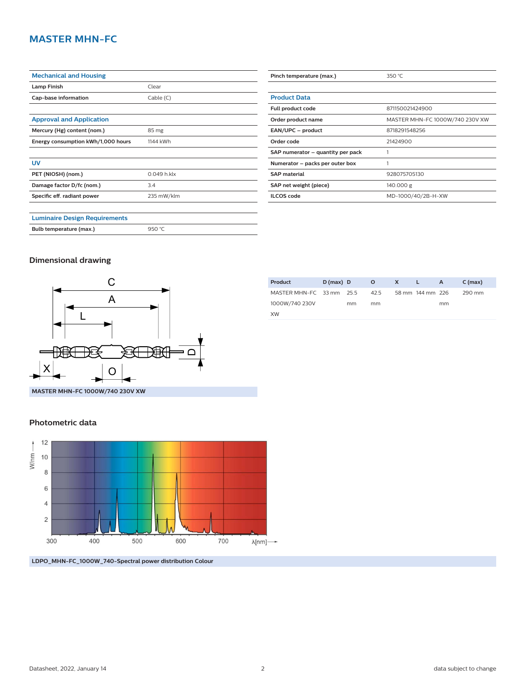## **MASTER MHN-FC**

| <b>Mechanical and Housing</b>        |             |  |  |  |  |
|--------------------------------------|-------------|--|--|--|--|
| <b>Lamp Finish</b>                   | Clear       |  |  |  |  |
| Cap-base information                 | Cable(C)    |  |  |  |  |
|                                      |             |  |  |  |  |
| <b>Approval and Application</b>      |             |  |  |  |  |
| Mercury (Hg) content (nom.)          | 85 mg       |  |  |  |  |
| Energy consumption kWh/1,000 hours   | 1144 kWh    |  |  |  |  |
|                                      |             |  |  |  |  |
| UV                                   |             |  |  |  |  |
| PET (NIOSH) (nom.)                   | 0.049 h.klx |  |  |  |  |
| Damage factor D/fc (nom.)            | 3.4         |  |  |  |  |
| Specific eff. radiant power          | 235 mW/klm  |  |  |  |  |
|                                      |             |  |  |  |  |
| <b>Luminaire Design Requirements</b> |             |  |  |  |  |
| Bulb temperature (max.)              | 950 °C      |  |  |  |  |

| Pinch temperature (max.)          | 350 $°C$                        |  |  |  |  |
|-----------------------------------|---------------------------------|--|--|--|--|
|                                   |                                 |  |  |  |  |
| <b>Product Data</b>               |                                 |  |  |  |  |
| Full product code                 | 871150021424900                 |  |  |  |  |
| Order product name                | MASTER MHN-FC 1000W/740 230V XW |  |  |  |  |
| EAN/UPC - product                 | 8718291548256                   |  |  |  |  |
| Order code                        | 21424900                        |  |  |  |  |
| SAP numerator – quantity per pack |                                 |  |  |  |  |
| Numerator – packs per outer box   |                                 |  |  |  |  |
| <b>SAP</b> material               | 928075705130                    |  |  |  |  |
| SAP net weight (piece)            | 140.000 g                       |  |  |  |  |
| <b>ILCOS</b> code                 | MD-1000/40/2B-H-XW              |  |  |  |  |

#### **Dimensional drawing**



| <b>Product</b>           | $D$ (max) D |    | $\circ$ | X L |                  | $-$ A | $C$ (max) |
|--------------------------|-------------|----|---------|-----|------------------|-------|-----------|
| MASTER MHN-FC 33 mm 25.5 |             |    | 42.5    |     | 58 mm 144 mm 226 |       | 290 mm    |
| 1000W/740 230V           |             | mm | mm      |     |                  | mm    |           |
| <b>XW</b>                |             |    |         |     |                  |       |           |

**MASTER MHN-FC 1000W/740 230V XW**

#### **Photometric data**



**LDPO\_MHN-FC\_1000W\_740-Spectral power distribution Colour**